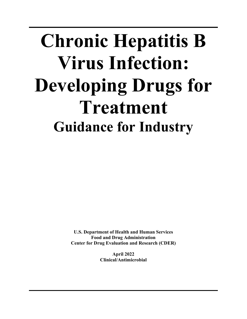## **Chronic Hepatitis B Virus Infection: Developing Drugs for Treatment Guidance for Industry**

**U.S. Department of Health and Human Services Food and Drug Administration Center for Drug Evaluation and Research (CDER)**

> **April 2022 Clinical/Antimicrobial**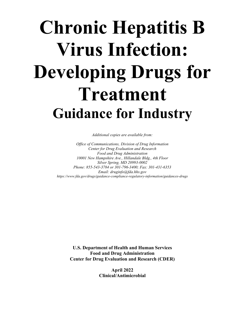# **Chronic Hepatitis B Virus Infection: Developing Drugs for Treatment Guidance for Industry**

*Additional copies are available from:*

*Office of Communications, Division of Drug Information Center for Drug Evaluation and Research Food and Drug Administration 10001 New Hampshire Ave., Hillandale Bldg., 4th Floor Silver Spring, MD 20993-0002 Phone: 855-543-3784 or 301-796-3400; Fax: 301-431-6353 Email: druginfo@fda.hhs.gov <https://www.fda.gov/drugs/guidance-compliance-regulatory-information/guidances-drugs>*

**U.S. Department of Health and Human Services Food and Drug Administration Center for Drug Evaluation and Research (CDER)**

> **April 2022 Clinical/Antimicrobial**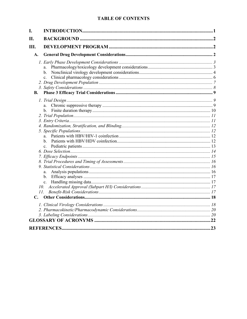## **TABLE OF CONTENTS**

| I.         |                                                                                 |  |
|------------|---------------------------------------------------------------------------------|--|
| Н.         |                                                                                 |  |
| III.       |                                                                                 |  |
| A.         |                                                                                 |  |
| B.         | $\mathbf{c}$ .                                                                  |  |
| 10.<br>11. | a.<br>b.<br>$a^{\dagger}$<br>b.<br>$\mathbf{c}$ .<br>a.<br>b.<br>$\mathbf{c}$ . |  |
|            |                                                                                 |  |
|            |                                                                                 |  |
| 23         |                                                                                 |  |
|            |                                                                                 |  |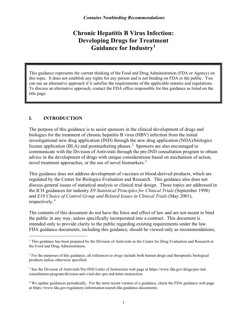## **Chronic Hepatitis B Virus Infection: Developing Drugs for Treatment Guidance for Industry[1](#page-3-0)**

This guidance represents the current thinking of the Food and Drug Administration (FDA or Agency) on this topic. It does not establish any rights for any person and is not binding on FDA or the public. You can use an alternative approach if it satisfies the requirements of the applicable statutes and regulations. To discuss an alternative approach, contact the FDA office responsible for this guidance as listed on the title page.

## **I. INTRODUCTION**

The purpose of this guidance is to assist sponsors in the clinical development of drugs and biologics for the treatment of chronic hepatitis B virus (HBV) infection from the initial investigational new drug application (IND) through the new drug application (NDA)/biologics license application (BLA) and postmarketing phases.<sup>[2](#page-3-1)</sup> Sponsors are also encouraged to communicate with the Division of Antivirals through the pre-IND consultation program to obtain advice in the development of drugs with unique considerations based on mechanism of action, novel treatment approaches, or the use of novel biomarkers.<sup>[3](#page-3-2)</sup>

This guidance does not address development of vaccines or blood-derived products, which are regulated by the Center for Biologics Evaluation and Research. This guidance also does not discuss general issues of statistical analysis or clinical trial design. Those topics are addressed in the ICH guidances for industry *E9 Statistical Principles for Clinical Trials* (September 1998) and *E10 Choice of Control Group and Related Issues in Clinical Trials* (May 2001), respectively.[4](#page-3-3)

The contents of this document do not have the force and effect of law and are not meant to bind the public in any way, unless specifically incorporated into a contract. This document is intended only to provide clarity to the public regarding existing requirements under the law. FDA guidance documents, including this guidance, should be viewed only as recommendations,

<span id="page-3-0"></span> $1$  This guidance has been prepared by the Division of Antivirals in the Center for Drug Evaluation and Research at the Food and Drug Administration.

<span id="page-3-1"></span><sup>2</sup> For the purposes of this guidance, all references to *drugs* include both human drugs and therapeutic biological products unless otherwise specified.

<span id="page-3-2"></span><sup>3</sup> See the Division of Antivirals Pre-IND Letter of Instruction web page at [https://www.fda.gov/drugs/pre-ind](https://www.fda.gov/drugs/pre-ind-consultation-program/division-anti-viral-dav-pre-ind-letter-instruction)[consultation-program/division-anti-viral-dav-pre-ind-letter-instruction.](https://www.fda.gov/drugs/pre-ind-consultation-program/division-anti-viral-dav-pre-ind-letter-instruction)

<span id="page-3-3"></span><sup>4</sup> We update guidances periodically. For the most recent version of a guidance, check the FDA guidance web page a[t https://www.fda.gov/regulatory-information/search-fda-guidance-documents.](https://www.fda.gov/regulatory-information/search-fda-guidance-documents)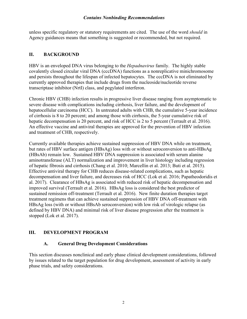unless specific regulatory or statutory requirements are cited. The use of the word *should* in Agency guidances means that something is suggested or recommended, but not required.

#### **II. BACKGROUND**

HBV is an enveloped DNA virus belonging to the *Hepadnavirus* family. The highly stable covalently closed circular viral DNA (cccDNA) functions as a nonreplicative minichromosome and persists throughout the lifespan of infected hepatocytes. The cccDNA is not eliminated by currently approved therapies that include drugs from the nucleoside/nucleotide reverse transcriptase inhibitor (NrtI) class, and pegylated interferon.

Chronic HBV (CHB) infection results in progressive liver disease ranging from asymptomatic to severe disease with complications including cirrhosis, liver failure, and the development of hepatocellular carcinoma (HCC). In untreated adults with CHB, the cumulative 5-year incidence of cirrhosis is 8 to 20 percent; and among those with cirrhosis, the 5-year cumulative risk of hepatic decompensation is 20 percent, and risk of HCC is 2 to 5 percent (Terrault et al. 2016). An effective vaccine and antiviral therapies are approved for the prevention of HBV infection and treatment of CHB, respectively.

Currently available therapies achieve sustained suppression of HBV DNA while on treatment, but rates of HBV surface antigen (HBsAg) loss with or without seroconversion to anti-HBsAg (HBsAb) remain low. Sustained HBV DNA suppression is associated with serum alanine aminotransferase (ALT) normalization and improvement in liver histology including regression of hepatic fibrosis and cirrhosis (Chang et al. 2010; Marcellin et al. 2013; Buti et al. 2015). Effective antiviral therapy for CHB reduces disease-related complications, such as hepatic decompensation and liver failure, and decreases risk of HCC (Lok et al. 2016; Papatheodoridis et al. 2017). Clearance of HBsAg is associated with reduced risk of hepatic decompensation and improved survival (Terrault et al. 2016). HBsAg loss is considered the best predictor of sustained remission off-treatment (Terrault et al. 2016). New finite duration therapies target treatment regimens that can achieve sustained suppression of HBV DNA off-treatment with HBsAg loss (with or without HBsAb seroconversion) with low risk of virologic relapse (as defined by HBV DNA) and minimal risk of liver disease progression after the treatment is stopped (Lok et al. 2017).

## **III. DEVELOPMENT PROGRAM**

## **A. General Drug Development Considerations**

This section discusses nonclinical and early phase clinical development considerations, followed by issues related to the target population for drug development, assessment of activity in early phase trials, and safety considerations.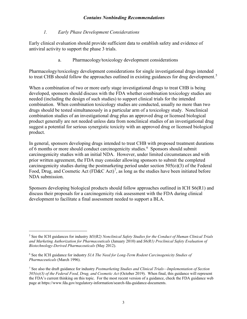## *1. Early Phase Development Considerations*

Early clinical evaluation should provide sufficient data to establish safety and evidence of antiviral activity to support the phase 3 trials.

a. Pharmacology/toxicology development considerations

Pharmacology/toxicology development considerations for single investigational drugs intended to treat CHB should follow the approaches outlined in existing guidances for drug development.<sup>[5](#page-5-0)</sup>

When a combination of two or more early stage investigational drugs to treat CHB is being developed, sponsors should discuss with the FDA whether combination toxicology studies are needed (including the design of such studies) to support clinical trials for the intended combination. When combination toxicology studies are conducted, usually no more than two drugs should be tested simultaneously in a particular arm of a toxicology study. Nonclinical combination studies of an investigational drug plus an approved drug or licensed biological product generally are not needed unless data from nonclinical studies of an investigational drug suggest a potential for serious synergistic toxicity with an approved drug or licensed biological product.

In general, sponsors developing drugs intended to treat CHB with proposed treatment durations of [6](#page-5-1) months or more should conduct carcinogenicity studies.<sup>6</sup> Sponsors should submit carcinogenicity studies with an initial NDA. However, under limited circumstances and with prior written agreement, the FDA may consider allowing sponsors to submit the completed carcinogenicity studies during the postmarketing period under section 505(o)(3) of the Federal Food, Drug, and Cosmetic Act (FD&C Act)<sup>[7](#page-5-2)</sup>, as long as the studies have been initiated before NDA submission.

Sponsors developing biological products should follow approaches outlined in ICH S6(R1) and discuss their proposals for a carcinogenicity risk assessment with the FDA during clinical development to facilitate a final assessment needed to support a BLA.

<span id="page-5-0"></span><sup>5</sup> See the ICH guidances for industry *M3(R2) Nonclinical Safety Studies for the Conduct of Human Clinical Trials and Marketing Authorization for Pharmaceuticals* (January 2010) and *S6(R1) Preclinical Safety Evaluation of Biotechnology-Derived Pharmaceuticals* (May 2012).

<span id="page-5-1"></span><sup>6</sup> See the ICH guidance for industry *S1A The Need for Long-Term Rodent Carcinogenicity Studies of Pharmaceuticals* (March 1996).

<span id="page-5-2"></span><sup>7</sup> See also the draft guidance for industry *Postmarketing Studies and Clinical Trials—Implementation of Section 505(o)(3) of the Federal Food, Drug, and Cosmetic Act* (October 2019). When final, this guidance will represent the FDA's current thinking on this topic. For the most recent version of a guidance, check the FDA guidance web page at [https://www.fda.gov/regulatory-information/search-fda-guidance-documents.](https://www.fda.gov/regulatory-information/search-fda-guidance-documents)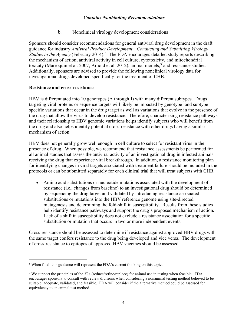b. Nonclinical virology development considerations

Sponsors should consider recommendations for general antiviral drug development in the draft guidance for industry *Antiviral Product Development—Conducting and Submitting Virology Studies to the Agency* (February 2014).<sup>[8](#page-6-0)</sup> The FDA encourages detailed study reports describing the mechanism of action, antiviral activity in cell culture, cytotoxicity, and mitochondrial toxicity (Marroquin et al. 2007; Arnold et al. 2012), animal models,  $9$  and resistance studies. Additionally, sponsors are advised to provide the following nonclinical virology data for investigational drugs developed specifically for the treatment of CHB.

#### **Resistance and cross-resistance**

HBV is differentiated into 10 genotypes (A through J) with many different subtypes. Drugs targeting viral proteins or sequence targets will likely be impacted by genotype- and subtypespecific variations that occur in the drug target as well as variations that evolve in the presence of the drug that allow the virus to develop resistance. Therefore, characterizing resistance pathways and their relationship to HBV genomic variations helps identify subjects who will benefit from the drug and also helps identify potential cross-resistance with other drugs having a similar mechanism of action.

HBV does not generally grow well enough in cell culture to select for resistant virus in the presence of drug. When possible, we recommend that resistance assessments be performed for all animal studies that assess the antiviral activity of an investigational drug in infected animals receiving the drug that experience viral breakthrough. In addition, a resistance monitoring plan for identifying changes in viral targets associated with treatment failure should be included in the protocols or can be submitted separately for each clinical trial that will treat subjects with CHB.

• Amino acid substitutions or nucleotide mutations associated with the development of resistance (i.e., changes from baseline) to an investigational drug should be determined by sequencing the drug target and validated by introducing resistance-associated substitutions or mutations into the HBV reference genome using site-directed mutagenesis and determining the fold-shift in susceptibility. Results from these studies help identify resistance pathways and support the drug's proposed mechanism of action. Lack of a shift in susceptibility does not exclude a resistance association for a specific substitution or mutation that occurs in two or more independent events.

Cross-resistance should be assessed to determine if resistance against approved HBV drugs with the same target confers resistance to the drug being developed and vice versa. The development of cross-resistance to epitopes of approved HBV vaccines should be assessed.

<span id="page-6-0"></span><sup>8</sup> When final, this guidance will represent the FDA's current thinking on this topic.

<span id="page-6-1"></span><sup>9</sup> We support the principles of the 3Rs (reduce/refine/replace) for animal use in testing when feasible. FDA encourages sponsors to consult with review divisions when considering a nonanimal testing method believed to be suitable, adequate, validated, and feasible. FDA will consider if the alternative method could be assessed for equivalency to an animal test method.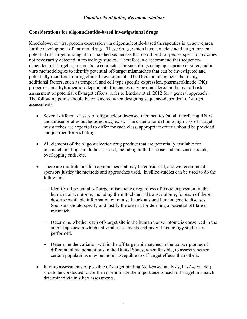#### **Considerations for oligonucleotide-based investigational drugs**

Knockdown of viral protein expression via oligonucleotide-based therapeutics is an active area for the development of antiviral drugs. These drugs, which have a nucleic acid target, present potential off-target binding at mismatched sequences that could lead to species-specific toxicities not necessarily detected in toxicology studies. Therefore, we recommend that sequencedependent off-target assessments be conducted for such drugs using appropriate in silico and in vitro methodologies to identify potential off-target mismatches that can be investigated and potentially monitored during clinical development. The Division recognizes that many additional factors, such as temporal and cell type specific expression, pharmacokinetic (PK) properties, and hybridization-dependent efficiencies may be considered in the overall risk assessment of potential off-target effects (refer to Lindow et al. 2012 for a general approach). The following points should be considered when designing sequence-dependent off-target assessments:

- Several different classes of oligonucleotide-based therapeutics (small interfering RNAs and antisense oligonucleotides, etc.) exist. The criteria for defining high-risk off-target mismatches are expected to differ for each class; appropriate criteria should be provided and justified for each drug.
- All elements of the oligonucleotide drug product that are potentially available for mismatch binding should be assessed, including both the sense and antisense strands, overlapping ends, etc.
- There are multiple in silico approaches that may be considered, and we recommend sponsors justify the methods and approaches used. In silico studies can be used to do the following:
	- Identify all potential off-target mismatches, regardless of tissue expression, in the human transcriptome, including the mitochondrial transcriptome; for each of these, describe available information on mouse knockouts and human genetic diseases. Sponsors should specify and justify the criteria for defining a potential off-target mismatch.
	- Determine whether each off-target site in the human transcriptome is conserved in the animal species in which antiviral assessments and pivotal toxicology studies are performed.
	- Determine the variation within the off-target mismatches in the transcriptomes of different ethnic populations in the United States, when feasible, to assess whether certain populations may be more susceptible to off-target effects than others.
- In vitro assessments of possible off-target binding (cell-based analysis, RNA-seq, etc.) should be conducted to confirm or eliminate the importance of each off-target mismatch determined via in silico assessments.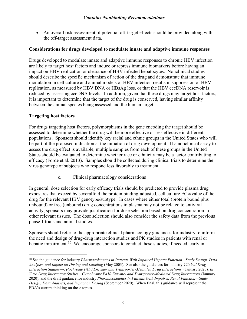• An overall risk assessment of potential off-target effects should be provided along with the off-target assessment data.

#### **Considerations for drugs developed to modulate innate and adaptive immune responses**

Drugs developed to modulate innate and adaptive immune responses to chronic HBV infection are likely to target host factors and induce or repress immune biomarkers before having an impact on HBV replication or clearance of HBV infected hepatocytes. Nonclinical studies should describe the specific mechanism of action of the drug and demonstrate that immune modulation in cell culture and animal models of HBV infection results in suppression of HBV replication, as measured by HBV DNA or HBsAg loss, or that the HBV cccDNA reservoir is reduced by assessing cccDNA levels. In addition, given that these drugs may target host factors, it is important to determine that the target of the drug is conserved, having similar affinity between the animal species being assessed and the human target.

#### **Targeting host factors**

For drugs targeting host factors, polymorphisms in the gene encoding the target should be assessed to determine whether the drug will be more effective or less effective in different populations. Sponsors should identify key racial and ethnic groups in the United States who will be part of the proposed indication at the initiation of drug development. If a nonclinical assay to assess the drug effect is available, multiple samples from each of these groups in the United States should be evaluated to determine whether race or ethnicity may be a factor contributing to efficacy (Forde et al. 2013). Samples should be collected during clinical trials to determine the virus genotype of subjects who respond less favorably to treatment.

c. Clinical pharmacology considerations

In general, dose selection for early efficacy trials should be predicted to provide plasma drug exposures that exceed by severalfold the protein binding-adjusted, cell culture EC50 value of the drug for the relevant HBV genotype/subtype. In cases where either total (protein bound plus unbound) or free (unbound) drug concentrations in plasma may not be related to antiviral activity, sponsors may provide justification for dose selection based on drug concentration in other relevant tissues. The dose selection should also consider the safety data from the previous phase 1 trials and animal studies.

Sponsors should refer to the appropriate clinical pharmacology guidances for industry to inform the need and design of drug-drug interaction studies and PK studies in patients with renal or hepatic impairment.<sup>10</sup> We encourage sponsors to conduct these studies, if needed, early in

<span id="page-8-0"></span><sup>10</sup> See the guidance for industry *Pharmacokinetics in Patients With Impaired Hepatic Function: Study Design, Data Analysis, and Impact on Dosing and Labeling* (May 2003). See also the guidances for industry *Clinical Drug Interaction Studies—Cytochrome P450 Enzyme- and Transporter-Mediated Drug Interactions* (January 2020)*, In Vitro Drug Interaction Studies—Cytochrome P450 Enzyme- and Transporter-Mediated Drug Interactions* (January 2020), and the draft guidance for industry *Pharmacokinetics in Patients With Impaired Renal Function—Study Design, Data Analysis, and Impact on Dosing* (September 2020). When final, this guidance will represent the FDA's current thinking on these topics.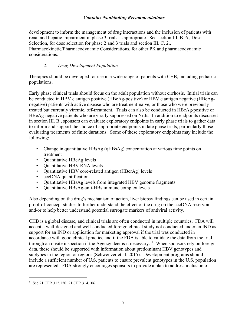development to inform the management of drug interactions and the inclusion of patients with renal and hepatic impairment in phase 3 trials as appropriate. See section III. B. 6., Dose Selection, for dose selection for phase 2 and 3 trials and section III. C. 2., Pharmacokinetic/Pharmacodynamic Considerations, for other PK and pharmacodynamic considerations.

## *2. Drug Development Population*

Therapies should be developed for use in a wide range of patients with CHB, including pediatric populations.

Early phase clinical trials should focus on the adult population without cirrhosis. Initial trials can be conducted in HBV e antigen positive (HBeAg-positive) or HBV e antigen negative (HBeAgnegative) patients with active disease who are treatment-naïve, or those who were previously treated but currently viremic, off-treatment. Trials can also be conducted in HBeAg-positive or HBeAg-negative patients who are virally suppressed on NrtIs. In addition to endpoints discussed in section III. B., sponsors can evaluate exploratory endpoints in early phase trials to gather data to inform and support the choice of appropriate endpoints in late phase trials, particularly those evaluating treatments of finite durations. Some of these exploratory endpoints may include the following:

- Change in quantitative HBsAg (qHBsAg) concentration at various time points on treatment
- Quantitative HBeAg levels
- Quantitative HBV RNA levels
- Quantitative HBV core-related antigen (HBcrAg) levels
- cccDNA quantification
- Quantitative HBsAg levels from integrated HBV genome fragments
- Quantitative HBsAg-anti-HBs immune complex levels

Also depending on the drug's mechanism of action, liver biopsy findings can be used in certain proof-of-concept studies to further understand the effect of the drug on the cccDNA reservoir and/or to help better understand potential surrogate markers of antiviral activity.

CHB is a global disease, and clinical trials are often conducted in multiple countries. FDA will accept a well-designed and well-conducted foreign clinical study not conducted under an IND as support for an IND or application for marketing approval if the trial was conducted in accordance with good clinical practice and if the FDA is able to validate the data from the trial through an onsite inspection if the Agency deems it necessary.<sup>11</sup> When sponsors rely on foreign data, these should be supported with information about predominant HBV genotypes and subtypes in the region or regions (Schweitzer et al. 2015). Development programs should include a sufficient number of U.S. patients to ensure prevalent genotypes in the U.S. population are represented. FDA strongly encourages sponsors to provide a plan to address inclusion of

<span id="page-9-0"></span><sup>&</sup>lt;sup>11</sup> See 21 CFR 312.120; 21 CFR 314.106.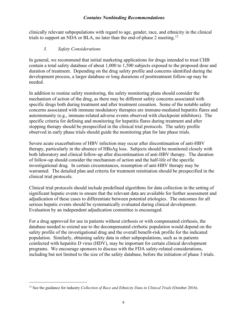clinically relevant subpopulations with regard to age, gender, race, and ethnicity in the clinical trials to support an NDA or BLA, no later than the end-of-phase 2 meeting.<sup>[12](#page-10-0)</sup>

#### *3. Safety Considerations*

In general, we recommend that initial marketing applications for drugs intended to treat CHB contain a total safety database of about 1,000 to 1,500 subjects exposed to the proposed dose and duration of treatment. Depending on the drug safety profile and concerns identified during the development process, a larger database or long durations of posttreatment follow-up may be needed.

In addition to routine safety monitoring, the safety monitoring plans should consider the mechanism of action of the drug, as there may be different safety concerns associated with specific drugs both during treatment and after treatment cessation. Some of the notable safety concerns associated with immune modulatory therapies are immune-mediated hepatitis flares and autoimmunity (e.g., immune-related adverse events observed with checkpoint inhibitors). The specific criteria for defining and monitoring for hepatitis flares during treatment and after stopping therapy should be prespecified in the clinical trial protocols. The safety profile observed in early phase trials should guide the monitoring plan for late phase trials.

Severe acute exacerbations of HBV infection may occur after discontinuation of anti-HBV therapy, particularly in the absence of HBsAg loss. Subjects should be monitored closely with both laboratory and clinical follow-up after discontinuation of anti-HBV therapy. The duration of follow-up should consider the mechanism of action and the half-life of the specific investigational drug. In certain circumstances, resumption of anti-HBV therapy may be warranted. The detailed plan and criteria for treatment reinitiation should be prespecified in the clinical trial protocols.

Clinical trial protocols should include predefined algorithms for data collection in the setting of significant hepatic events to ensure that the relevant data are available for further assessment and adjudication of these cases to differentiate between potential etiologies. The outcomes for all serious hepatic events should be systematically evaluated during clinical development. Evaluation by an independent adjudication committee is encouraged.

For a drug approved for use in patients without cirrhosis or with compensated cirrhosis, the database needed to extend use to the decompensated cirrhotic population would depend on the safety profile of the investigational drug and the overall benefit-risk profile for the indicated population. Similarly, obtaining safety data in other subpopulations, such as in patients coinfected with hepatitis D virus (HDV), may be important for certain clinical development programs. We encourage sponsors to discuss with the FDA safety-related considerations, including but not limited to the size of the safety database, before the initiation of phase 3 trials.

<span id="page-10-0"></span><sup>&</sup>lt;sup>12</sup> See the guidance for industry *Collection of Race and Ethnicity Data in Clinical Trials* (October 2016).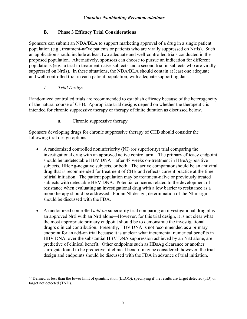## **B. Phase 3 Efficacy Trial Considerations**

Sponsors can submit an NDA/BLA to support marketing approval of a drug in a single patient population (e.g., treatment-naïve patients or patients who are virally suppressed on NrtIs). Such an application should include at least two adequate and well-controlled trials conducted in the proposed population. Alternatively, sponsors can choose to pursue an indication for different populations (e.g., a trial in treatment-naïve subjects and a second trial in subjects who are virally suppressed on NrtIs). In these situations, the NDA/BLA should contain at least one adequate and well-controlled trial in each patient population, with adequate supporting data.

## *1. Trial Design*

Randomized controlled trials are recommended to establish efficacy because of the heterogeneity of the natural course of CHB. Appropriate trial designs depend on whether the therapeutic is intended for chronic suppressive therapy or therapy of finite duration as discussed below.

a. Chronic suppressive therapy

Sponsors developing drugs for chronic suppressive therapy of CHB should consider the following trial design options:

- A randomized controlled noninferiority (NI) (or superiority) trial comparing the investigational drug with an approved active control arm—The primary efficacy endpoint should be undetectable HBV  $DNA^{13}$  $DNA^{13}$  $DNA^{13}$  after 48 weeks on-treatment in HBeAg-positive subjects, HBeAg-negative subjects, or both. The active comparator should be an antiviral drug that is recommended for treatment of CHB and reflects current practice at the time of trial initiation. The patient population may be treatment-naïve or previously treated subjects with detectable HBV DNA. Potential concerns related to the development of resistance when evaluating an investigational drug with a low barrier to resistance as a monotherapy should be addressed. For an NI design, determination of the NI margin should be discussed with the FDA.
- A randomized controlled *add-on* superiority trial comparing an investigational drug plus an approved NrtI with an NrtI alone—However, for this trial design, it is not clear what the most appropriate primary endpoint should be to demonstrate the investigational drug's clinical contribution. Presently, HBV DNA is not recommended as a primary endpoint for an add-on trial because it is unclear what incremental numerical benefits in HBV DNA, over the substantial HBV DNA suppression achieved by an NrtI alone, are predictive of clinical benefit. Other endpoints such as HBsAg clearance or another surrogate found to be predictive of clinical benefit may be considered; however, the trial design and endpoints should be discussed with the FDA in advance of trial initiation.

<span id="page-11-0"></span> $<sup>13</sup>$  Defined as less than the lower limit of quantification (LLOO), specifying if the results are target detected (TD) or</sup> target not detected (TND).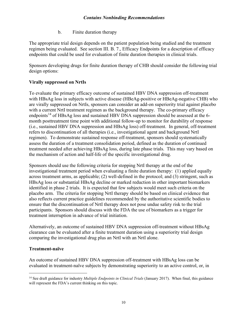b. Finite duration therapy

The appropriate trial design depends on the patient population being studied and the treatment regimen being evaluated. See section III. B. 7., Efficacy Endpoints for a description of efficacy endpoints that could be used for evaluation of finite duration therapies in clinical trials.

Sponsors developing drugs for finite duration therapy of CHB should consider the following trial design options:

## **Virally suppressed on NrtIs**

To evaluate the primary efficacy outcome of sustained HBV DNA suppression off-treatment with HBsAg loss in subjects with active disease (HBeAg-positive or HBeAg-negative CHB) who are virally suppressed on NrtIs, sponsors can consider an add-on superiority trial against placebo with a current NrtI treatment regimen as the background therapy. The co-primary efficacy endpoints<sup>[14](#page-12-0)</sup> of HBsAg loss and sustained HBV DNA suppression should be assessed at the 6month posttreatment time point with additional follow-up to monitor for durability of response (i.e., sustained HBV DNA suppression and HBsAg loss) off-treatment. In general, off-treatment refers to discontinuation of all therapies (i.e., investigational agent and background NrtI regimen). To demonstrate sustained response off-treatment, sponsors should systematically assess the duration of a treatment consolidation period, defined as the duration of continued treatment needed after achieving HBsAg loss, during late phase trials. This may vary based on the mechanism of action and half-life of the specific investigational drug.

Sponsors should use the following criteria for stopping NrtI therapy at the end of the investigational treatment period when evaluating a finite duration therapy: (1) applied equally across treatment arms, as applicable; (2) well-defined in the protocol; and (3) stringent, such as HBsAg loss or substantial HBsAg decline or marked reduction in other important biomarkers identified in phase 2 trials. It is expected that few subjects would meet such criteria on the placebo arm. The criteria for stopping NrtI therapy should be based on clinical evidence that also reflects current practice guidelines recommended by the authoritative scientific bodies to ensure that the discontinuation of NrtI therapy does not pose undue safety risk to the trial participants. Sponsors should discuss with the FDA the use of biomarkers as a trigger for treatment interruption in advance of trial initiation.

Alternatively, an outcome of sustained HBV DNA suppression off-treatment without HBsAg clearance can be evaluated after a finite treatment duration using a superiority trial design comparing the investigational drug plus an NrtI with an NrtI alone.

## **Treatment-naïve**

An outcome of sustained HBV DNA suppression off-treatment with HBsAg loss can be evaluated in treatment-naïve subjects by demonstrating superiority to an active control, or, in

<span id="page-12-0"></span><sup>14</sup> See draft guidance for industry *Multiple Endpoints in Clinical Trials* (January 2017). When final, this guidance will represent the FDA's current thinking on this topic.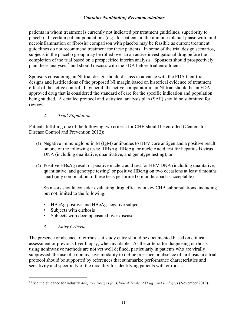patients in whom treatment is currently not indicated per treatment guidelines, superiority to placebo. In certain patient populations (e.g., for patients in the immune-tolerant phase with mild necroinflammation or fibrosis) comparison with placebo may be feasible as current treatment guidelines do not recommend treatment for these patients. In some of the trial design scenarios, subjects in the placebo group may be rolled over to an active investigational drug before the completion of the trial based on a prespecified interim analysis. Sponsors should prospectively plan these analyses<sup>[15](#page-13-0)</sup> and should discuss with the FDA before trial enrollment.

Sponsors considering an NI trial design should discuss in advance with the FDA their trial designs and justifications of the proposed NI margin based on historical evidence of treatment effect of the active control. In general, the active comparator in an NI trial should be an FDAapproved drug that is considered the standard of care for the specific indication and population being studied. A detailed protocol and statistical analysis plan (SAP) should be submitted for review.

## *2. Trial Population*

Patients fulfilling one of the following two criteria for CHB should be enrolled (Centers for Disease Control and Prevention 2012):

- (1) Negative immunoglobulin M (IgM) antibodies to HBV core antigen and a positive result on one of the following tests: HBsAg, HBeAg, or nucleic acid test for hepatitis B virus DNA (including qualitative, quantitative, and genotype testing); or
- (2) Positive HBsAg result or positive nucleic acid test for HBV DNA (including qualitative, quantitative, and genotype testing) or positive HBeAg on two occasions at least 6 months apart (any combination of these tests performed 6 months apart is acceptable).

Sponsors should consider evaluating drug efficacy in key CHB subpopulations, including but not limited to the following:

- HBeAg-positive and HBeAg-negative subjects
- Subjects with cirrhosis
- Subjects with decompensated liver disease
- *3. Entry Criteria*

The presence or absence of cirrhosis at study entry should be documented based on clinical assessment or previous liver biopsy, when available. As the criteria for diagnosing cirrhosis using noninvasive methods are not yet well defined, particularly in patients who are virally suppressed, the use of a noninvasive modality to define presence or absence of cirrhosis in a trial protocol should be supported by references that summarize performance characteristics and sensitivity and specificity of the modality for identifying patients with cirrhosis.

<span id="page-13-0"></span><sup>&</sup>lt;sup>15</sup> See the guidance for industry *Adaptive Designs for Clinical Trials of Drugs and Biologics* (November 2019).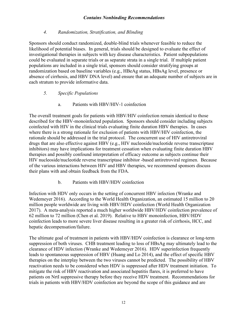#### *4. Randomization, Stratification, and Blinding*

Sponsors should conduct randomized, double-blind trials whenever feasible to reduce the likelihood of potential biases. In general, trials should be designed to evaluate the effect of investigational therapies in subjects with key disease characteristics. Patient subpopulations could be evaluated in separate trials or as separate strata in a single trial. If multiple patient populations are included in a single trial, sponsors should consider stratifying groups at randomization based on baseline variables (e.g., HBeAg status, HBsAg level, presence or absence of cirrhosis, and HBV DNA level) and ensure that an adequate number of subjects are in each stratum to provide informative data.

#### *5. Specific Populations*

a. Patients with HBV/HIV-1 coinfection

The overall treatment goals for patients with HBV/HIV coinfection remain identical to those described for the HBV-monoinfected population. Sponsors should consider including subjects coinfected with HIV in the clinical trials evaluating finite duration HBV therapies. In cases where there is a strong rationale for exclusion of patients with HBV/HIV coinfection, the rationale should be addressed in the trial protocol. The concurrent use of HIV antiretroviral drugs that are also effective against HBV (e.g., HIV nucleoside/nucleotide reverse transcriptase inhibitors) may have implications for treatment cessation when evaluating finite duration HBV therapies and possibly confound interpretation of efficacy outcome as subjects continue their HIV nucleoside/nucleotide reverse transcriptase inhibitor -based antiretroviral regimen. Because of the various interactions between HIV and HBV therapies, we recommend sponsors discuss their plans with and obtain feedback from the FDA.

b. Patients with HBV/HDV coinfection

Infection with HDV only occurs in the setting of concurrent HBV infection (Wranke and Wedemeyer 2016). According to the World Health Organization, an estimated 15 million to 20 million people worldwide are living with HBV/HDV coinfection (World Health Organization 2017). A meta-analysis reported a much higher worldwide HBV/HDV coinfection prevalence of 62 million to 72 million (Chen et al. 2019). Relative to HBV monoinfection, HBV/HDV coinfection leads to more severe liver disease resulting in a greater risk of cirrhosis, HCC, and hepatic decompensation/failure.

The ultimate goal of treatment in patients with HBV/HDV coinfection is clearance or long-term suppression of both viruses. CHB treatment leading to loss of HBsAg may ultimately lead to the clearance of HDV infection (Wranke and Wedemeyer 2016). HDV superinfection frequently leads to spontaneous suppression of HBV (Huang and Lo 2014), and the effect of specific HBV therapies on the interplay between the two viruses cannot be predicted. The possibility of HBV reactivation needs to be considered when HDV is suppressed after HDV treatment initiation. To mitigate the risk of HBV reactivation and associated hepatitis flares, it is preferred to have patients on NrtI suppressive therapy before they receive HDV treatment. Recommendations for trials in patients with HBV/HDV coinfection are beyond the scope of this guidance and are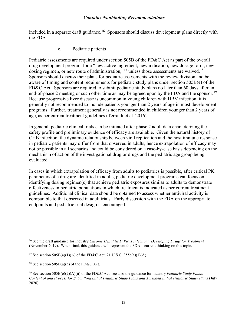included in a separate draft guidance.<sup>16</sup> Sponsors should discuss development plans directly with the FDA.

c. Pediatric patients

Pediatric assessments are required under section 505B of the FD&C Act as part of the overall drug development program for a "new active ingredient, new indication, new dosage form, new dosing regimen, or new route of administration,"<sup>[17](#page-15-1)</sup> unless those assessments are waived.<sup>18</sup> Sponsors should discuss their plans for pediatric assessments with the review division and be aware of timing and content requirements for pediatric study plans under section 505B(e) of the FD&C Act. Sponsors are required to submit pediatric study plans no later than 60 days after an end-of-phase 2 meeting or such other time as may be agreed upon by the FDA and the sponsor.<sup>19</sup> Because progressive liver disease is uncommon in young children with HBV infection, it is generally not recommended to include patients younger than 2 years of age in most development programs. Further, treatment generally is not recommended in children younger than 2 years of age, as per current treatment guidelines (Terrault et al. 2016).

In general, pediatric clinical trials can be initiated after phase 2 adult data characterizing the safety profile and preliminary evidence of efficacy are available. Given the natural history of CHB infection, the dynamic relationship between viral replication and the host immune response in pediatric patients may differ from that observed in adults, hence extrapolation of efficacy may not be possible in all scenarios and could be considered on a case-by-case basis depending on the mechanism of action of the investigational drug or drugs and the pediatric age group being evaluated.

In cases in which extrapolation of efficacy from adults to pediatrics is possible, after critical PK parameters of a drug are identified in adults, pediatric development programs can focus on identifying dosing regimen(s) that achieve pediatric exposures similar to adults to demonstrate effectiveness in pediatric populations in which treatment is indicated as per current treatment guidelines. Additional clinical data should be obtained to assess whether antiviral activity is comparable to that observed in adult trials. Early discussion with the FDA on the appropriate endpoints and pediatric trial design is encouraged.

<span id="page-15-0"></span><sup>16</sup> See the draft guidance for industry *Chronic Hepatitis D Virus Infection: Developing Drugs for Treatment* (November 2019). When final, this guidance will represent the FDA's current thinking on this topic.

<span id="page-15-1"></span><sup>&</sup>lt;sup>17</sup> See section 505B(a)(1)(A) of the FD&C Act; 21 U.S.C. 355c(a)(1)(A).

<span id="page-15-2"></span><sup>&</sup>lt;sup>18</sup> See section 505B(a)(5) of the FD&C Act.

<span id="page-15-3"></span><sup>19</sup> See section 505B(e)(2)(A)(ii) of the FD&C Act; see also the guidance for industry *Pediatric Study Plans: Content of and Process for Submitting Initial Pediatric Study Plans and Amended Initial Pediatric Study Plans* (July 2020).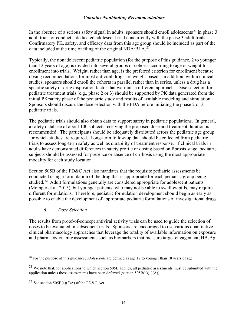In the absence of a serious safety signal in adults, sponsors should enroll adolescents<sup>[20](#page-16-0)</sup> in phase 3 adult trials or conduct a dedicated adolescent trial concurrently with the phase 3 adult trials. Confirmatory PK, safety, and efficacy data from this age group should be included as part of the data included at the time of filing of the original NDA/BLA.<sup>[21](#page-16-1)</sup>

Typically, the nonadolescent pediatric population (for the purpose of this guidance, 2 to younger than 12 years of age) is divided into several groups or cohorts according to age or weight for enrollment into trials. Weight, rather than age, is the preferred criterion for enrollment because dosing recommendations for most antiviral drugs are weight-based. In addition, within clinical studies, sponsors should enroll the cohorts in parallel rather than in series, unless a drug has a specific safety or drug disposition factor that warrants a different approach. Dose selection for pediatric treatment trials (e.g., phase 2 or 3) should be supported by PK data generated from the initial PK/safety phase of the pediatric study and results of available modeling and simulation. Sponsors should discuss the dose selection with the FDA before initiating the phase 2 or 3 pediatric trials.

The pediatric trials should also obtain data to support safety in pediatric populations. In general, a safety database of about 100 subjects receiving the proposed dose and treatment duration is recommended. The participants should be adequately distributed across the pediatric age group for which studies are required. Long-term follow-up data should be collected from pediatric trials to assess long-term safety as well as durability of treatment response. If clinical trials in adults have demonstrated differences in safety profile or dosing based on fibrosis stage, pediatric subjects should be assessed for presence or absence of cirrhosis using the most appropriate modality for each study location.

Section 505B of the FD&C Act also mandates that the requisite pediatric assessments be conducted using a formulation of the drug that is appropriate for each pediatric group being studied.<sup>[22](#page-16-2)</sup> Adult formulations generally are considered appropriate for adolescent patients (Momper et al. 2013), but younger patients, who may not be able to swallow pills, may require different formulations. Therefore, pediatric formulation development should begin as early as possible to enable the development of appropriate pediatric formulations of investigational drugs.

#### *6. Dose Selection*

The results from proof-of-concept antiviral activity trials can be used to guide the selection of doses to be evaluated in subsequent trials. Sponsors are encouraged to use various quantitative clinical pharmacology approaches that leverage the totality of available information on exposure and pharmacodynamic assessments such as biomarkers that measure target engagement, HBsAg

<span id="page-16-0"></span><sup>20</sup> For the purpose of this guidance, *adolescents* are defined as age 12 to younger than 18 years of age.

<span id="page-16-1"></span> $21$  We note that, for applications to which section 505B applies, all pediatric assessments must be submitted with the application unless those assessments have been deferred (section  $505B(a)(1)(A)$ ).

<span id="page-16-2"></span><sup>&</sup>lt;sup>22</sup> See section 505B(a)(2)A) of the FD&C Act.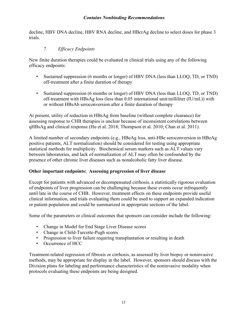decline, HBV DNA decline, HBV RNA decline, and HBcrAg decline to select doses for phase 3 trials.

## *7. Efficacy Endpoints*

New finite duration therapies could be evaluated in clinical trials using any of the following efficacy endpoints:

- Sustained suppression (6 months or longer) of HBV DNA (less than LLOQ, TD, or TND) off-treatment after a finite duration of therapy
- Sustained suppression (6 months or longer) of HBV DNA (less than LLOQ, TD, or TND) off-treatment with HBsAg loss (less than 0.05 international unit/milliliter (IU/mL)) with or without HBsAb seroconversion after a finite duration of therapy

At present, utility of reduction in HBsAg from baseline (without complete clearance) for assessing response to CHB therapies is unclear because of inconsistent correlations between qHBsAg and clinical response (Hu et al. 2018; Thompson et al. 2010; Chan et al. 2011).

A limited number of secondary endpoints (e.g., HBeAg loss, anti-HBe seroconversion in HBeAg positive patients, ALT normalization) should be considered for testing using appropriate statistical methods for multiplicity. Biochemical serum markers such as ALT values vary between laboratories, and lack of normalization of ALT may often be confounded by the presence of other chronic liver diseases such as nonalcoholic fatty liver disease.

#### **Other important endpoints: Assessing progression of liver disease**

Except for patients with advanced or decompensated cirrhosis, a statistically rigorous evaluation of endpoints of liver progression can be challenging because these events occur infrequently until late in the course of CHB. However, treatment effects on these endpoints provide useful clinical information, and trials evaluating them could be used to support an expanded indication or patient population and could be summarized in appropriate sections of the label.

Some of the parameters or clinical outcomes that sponsors can consider include the following:

- Change in Model for End Stage Liver Disease scores
- Change in Child-Turcotte-Pugh scores
- Progression to liver failure requiring transplantation or resulting in death
- Occurrence of HCC

Treatment-related regression of fibrosis or cirrhosis, as assessed by liver biopsy or noninvasive methods, may be appropriate for display in the label. However, sponsors should discuss with the Division plans for labeling and performance characteristics of the noninvasive modality when protocols evaluating these endpoints are being designed.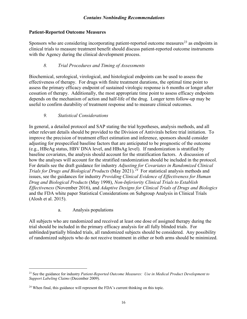## **Patient-Reported Outcome Measures**

Sponsors who are considering incorporating patient-reported outcome measures<sup>[23](#page-18-0)</sup> as endpoints in clinical trials to measure treatment benefit should discuss patient-reported outcome instruments with the Agency during the clinical development process.

## *8. Trial Procedures and Timing of Assessments*

Biochemical, serological, virological, and histological endpoints can be used to assess the effectiveness of therapy. For drugs with finite treatment durations, the optimal time point to assess the primary efficacy endpoint of sustained virologic response is 6 months or longer after cessation of therapy. Additionally, the most appropriate time point to assess efficacy endpoints depends on the mechanism of action and half-life of the drug. Longer term follow-up may be useful to confirm durability of treatment response and to measure clinical outcomes.

## *9. Statistical Considerations*

In general, a detailed protocol and SAP stating the trial hypotheses, analysis methods, and all other relevant details should be provided to the Division of Antivirals before trial initiation. To improve the precision of treatment effect estimation and inference, sponsors should consider adjusting for prespecified baseline factors that are anticipated to be prognostic of the outcome (e.g., HBeAg status, HBV DNA level, and HBsAg level). If randomization is stratified by baseline covariates, the analysis should account for the stratification factors. A discussion of how the analyses will account for the stratified randomization should be included in the protocol. For details see the draft guidance for industry *Adjusting for Covariates in Randomized Clinical Trials for Drugs and Biological Products* (May 2021)*. [24](#page-18-1)* For statistical analysis methods and issues, see the guidances for industry *Providing Clinical Evidence of Effectiveness for Human Drug and Biological Products* (May 1998), *Non-Inferiority Clinical Trials to Establish Effectiveness* (November 2016), and *Adaptive Designs for Clinical Trials of Drugs and Biologics*  and the FDA white paper Statistical Considerations on Subgroup Analysis in Clinical Trials (Alosh et al. 2015).

#### a. Analysis populations

All subjects who are randomized and received at least one dose of assigned therapy during the trial should be included in the primary efficacy analysis for all fully blinded trials. For unblinded/partially blinded trials, all randomized subjects should be considered. Any possibility of randomized subjects who do not receive treatment in either or both arms should be minimized.

<span id="page-18-0"></span><sup>23</sup> See the guidance for industry *Patient-Reported Outcome Measures: Use in Medical Product Development to Support Labeling Claims* (December 2009).

<span id="page-18-1"></span><sup>&</sup>lt;sup>24</sup> When final, this guidance will represent the FDA's current thinking on this topic.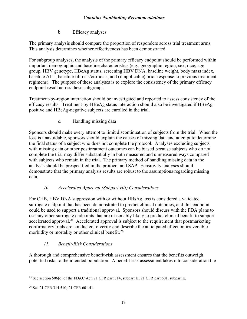## b. Efficacy analyses

The primary analysis should compare the proportion of responders across trial treatment arms. This analysis determines whether effectiveness has been demonstrated.

For subgroup analyses, the analysis of the primary efficacy endpoint should be performed within important demographic and baseline characteristics (e.g., geographic region, sex, race, age group, HBV genotype, HBeAg status, screening HBV DNA, baseline weight, body mass index, baseline ALT, baseline fibrosis/cirrhosis, and (if applicable) prior response to previous treatment regimens). The purpose of these analyses is to explore the consistency of the primary efficacy endpoint result across these subgroups.

Treatment-by-region interaction should be investigated and reported to assess consistency of the efficacy results. Treatment-by-HBeAg status interaction should also be investigated if HBeAgpositive and HBeAg-negative subjects are enrolled in the trial.

c. Handling missing data

Sponsors should make every attempt to limit discontinuation of subjects from the trial. When the loss is unavoidable, sponsors should explain the causes of missing data and attempt to determine the final status of a subject who does not complete the protocol. Analyses excluding subjects with missing data or other posttreatment outcomes can be biased because subjects who do not complete the trial may differ substantially in both measured and unmeasured ways compared with subjects who remain in the trial. The primary method of handling missing data in the analysis should be prespecified in the protocol and SAP. Sensitivity analyses should demonstrate that the primary analysis results are robust to the assumptions regarding missing data.

## *10. Accelerated Approval (Subpart H/I) Considerations*

For CHB, HBV DNA suppression with or without HBsAg loss is considered a validated surrogate endpoint that has been demonstrated to predict clinical outcomes, and this endpoint could be used to support a traditional approval. Sponsors should discuss with the FDA plans to use any other surrogate endpoints that are reasonably likely to predict clinical benefit to support accelerated approval.<sup>25</sup> Accelerated approval is subject to the requirement that postmarketing confirmatory trials are conducted to verify and describe the anticipated effect on irreversible morbidity or mortality or other clinical benefit.<sup>[26](#page-19-1)</sup>

## *11. Benefit-Risk Considerations*

A thorough and comprehensive benefit-risk assessment ensures that the benefits outweigh potential risks to the intended population. A benefit-risk assessment takes into consideration the

<span id="page-19-0"></span><sup>&</sup>lt;sup>25</sup> See section 506(c) of the FD&C Act; 21 CFR part 314, subpart H; 21 CFR part 601, subpart E.

<span id="page-19-1"></span><sup>26</sup> See 21 CFR 314.510; 21 CFR 601.41.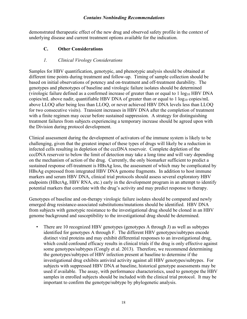demonstrated therapeutic effect of the new drug and observed safety profile in the context of underlying disease and current treatment options available for the indication.

## **C. Other Considerations**

## *1. Clinical Virology Considerations*

Samples for HBV quantification, genotypic, and phenotypic analysis should be obtained at different time points during treatment and follow-up. Timing of sample collection should be based on initial observations of potency and on-treatment and off-treatment durability. The genotypes and phenotypes of baseline and virologic failure isolates should be determined (virologic failure defined as a confirmed increase of greater than or equal to 1  $log_{10}$  HBV DNA copies/mL above nadir, quantifiable HBV DNA of greater than or equal to 1  $\log_{10}$  copies/mL above LLOQ after being less than LLOQ, or never achieved HBV DNA levels less than LLOQ for two consecutive visits). Transient increases in HBV DNA after the completion of treatment with a finite regimen may occur before sustained suppression. A strategy for distinguishing treatment failures from subjects experiencing a temporary increase should be agreed upon with the Division during protocol development.

Clinical assessment during the development of activators of the immune system is likely to be challenging, given that the greatest impact of these types of drugs will likely be a reduction in infected cells resulting in depletion of the cccDNA reservoir. Complete depletion of the cccDNA reservoir to below the limit of detection may take a long time and will vary depending on the mechanism of action of the drug. Currently, the only biomarker sufficient to predict a sustained response off-treatment is HBsAg loss, the assessment of which may be complicated by HBsAg expressed from integrated HBV DNA genome fragments. In addition to host immune markers and serum HBV DNA, clinical trial protocols should assess several exploratory HBV endpoints (HBcrAg, HBV RNA, etc.) early in the development program in an attempt to identify potential markers that correlate with the drug's activity and may predict response to therapy.

Genotypes of baseline and on-therapy virologic failure isolates should be compared and newly emerged drug resistance-associated substitutions/mutations should be identified. HBV DNA from subjects with genotypic resistance to the investigational drug should be cloned in an HBV genome background and susceptibility to the investigational drug should be determined.

• There are 10 recognized HBV genotypes (genotypes A through J) as well as subtypes identified for genotypes A through F. The different HBV genotypes/subtypes encode distinct viral proteins and may exhibit differential responses to an investigational drug, which could confound efficacy results in clinical trials if the drug is only effective against some genotypes/subtypes (Congly et al. 2013). Therefore, we recommend determining the genotypes/subtypes of HBV infection present at baseline to determine if the investigational drug exhibits antiviral activity against all HBV genotypes/subtypes. For subjects with suppressed HBV DNA at baseline, historical genotype assessments may be used if available. The assay, with performance characteristics, used to genotype the HBV samples in enrolled subjects should be included with the clinical trial protocol. It may be important to confirm the genotype/subtype by phylogenetic analysis.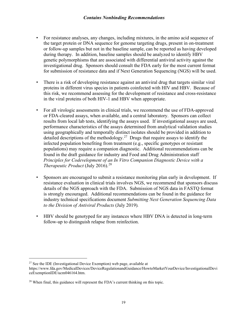- For resistance analyses, any changes, including mixtures, in the amino acid sequence of the target protein or DNA sequence for genome targeting drugs, present in on-treatment or follow-up samples but not in the baseline sample, can be reported as having developed during therapy. In addition, baseline samples should be analyzed to identify HBV genetic polymorphisms that are associated with differential antiviral activity against the investigational drug. Sponsors should consult the FDA early for the most current format for submission of resistance data and if Next Generation Sequencing (NGS) will be used.
- There is a risk of developing resistance against an antiviral drug that targets similar viral proteins in different virus species in patients coinfected with HIV and HBV. Because of this risk, we recommend assessing for the development of resistance and cross-resistance in the viral proteins of both HIV-1 and HBV when appropriate.
- For all virologic assessments in clinical trials, we recommend the use of FDA-approved or FDA-cleared assays, when available, and a central laboratory. Sponsors can collect results from local lab tests, identifying the assays used. If investigational assays are used, performance characteristics of the assays determined from analytical validation studies using geographically and temporally distinct isolates should be provided in addition to detailed descriptions of the methodology.<sup>27</sup> Drugs that require assays to identify the infected population benefiting from treatment (e.g., specific genotypes or resistant populations) may require a companion diagnostic. Additional recommendations can be found in the draft guidance for industry and Food and Drug Administration staff *Principles for Codevelopment of an In Vitro Companion Diagnostic Device with a Therapeutic Product* (July 2016). [28](#page-21-1)
- Sponsors are encouraged to submit a resistance monitoring plan early in development. If resistance evaluation in clinical trials involves NGS, we recommend that sponsors discuss details of the NGS approach with the FDA. Submission of NGS data in FASTQ format is strongly encouraged. Additional recommendations can be found in the guidance for industry technical specifications document *Submitting Next Generation Sequencing Data to the Division of Antiviral Products* (July 2019)*.*
- HBV should be genotyped for any instances where HBV DNA is detected in long-term follow-up to distinguish relapse from reinfection.

<span id="page-21-0"></span> $27$  See the IDE (Investigational Device Exemption) web page, available at

[https://www.fda.gov/MedicalDevices/DeviceRegulationandGuidance/HowtoMarketYourDevice/InvestigationalDevi](https://www.fda.gov/MedicalDevices/DeviceRegulationandGuidance/HowtoMarketYourDevice/InvestigationalDeviceExemptionIDE/ucm046164.htm) [ceExemptionIDE/ucm046164.htm.](https://www.fda.gov/MedicalDevices/DeviceRegulationandGuidance/HowtoMarketYourDevice/InvestigationalDeviceExemptionIDE/ucm046164.htm)

<span id="page-21-1"></span><sup>&</sup>lt;sup>28</sup> When final, this guidance will represent the FDA's current thinking on this topic.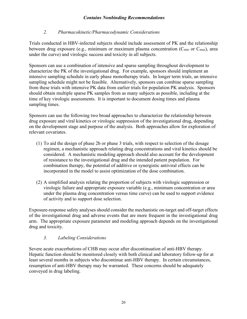## *2. Pharmacokinetic/Pharmacodynamic Considerations*

Trials conducted in HBV-infected subjects should include assessment of PK and the relationship between drug exposure (e.g., minimum or maximum plasma concentration ( $C_{min}$  or  $C_{max}$ ), area under the curve) and virologic success and toxicity in all subjects.

Sponsors can use a combination of intensive and sparse sampling throughout development to characterize the PK of the investigational drug. For example, sponsors should implement an intensive sampling schedule in early phase monotherapy trials. In longer term trials, an intensive sampling schedule might not be feasible. Alternatively, sponsors can combine sparse sampling from these trials with intensive PK data from earlier trials for population PK analysis. Sponsors should obtain multiple sparse PK samples from as many subjects as possible, including at the time of key virologic assessments. It is important to document dosing times and plasma sampling times.

Sponsors can use the following two broad approaches to characterize the relationship between drug exposure and viral kinetics or virologic suppression of the investigational drug, depending on the development stage and purpose of the analysis. Both approaches allow for exploration of relevant covariates.

- (1) To aid the design of phase 2b or phase 3 trials, with respect to selection of the dosage regimen, a mechanistic approach relating drug concentrations and viral kinetics should be considered. A mechanistic modeling approach should also account for the development of resistance to the investigational drug and the intended patient population. For combination therapy, the potential of additive or synergistic antiviral effects can be incorporated in the model to assist optimization of the dose combination.
- (2) A simplified analysis relating the proportion of subjects with virologic suppression or virologic failure and appropriate exposure variable (e.g., minimum concentration or area under the plasma drug concentration versus time curve) can be used to support evidence of activity and to support dose selection.

Exposure-response safety analyses should consider the mechanistic on-target and off-target effects of the investigational drug and adverse events that are more frequent in the investigational drug arm. The appropriate exposure parameter and modeling approach depends on the investigational drug and toxicity.

## *3. Labeling Considerations*

Severe acute exacerbations of CHB may occur after discontinuation of anti-HBV therapy. Hepatic function should be monitored closely with both clinical and laboratory follow-up for at least several months in subjects who discontinue anti-HBV therapy. In certain circumstances, resumption of anti-HBV therapy may be warranted. These concerns should be adequately conveyed in drug labeling.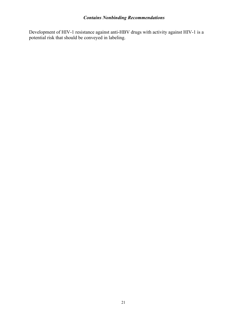Development of HIV-1 resistance against anti-HBV drugs with activity against HIV-1 is a potential risk that should be conveyed in labeling.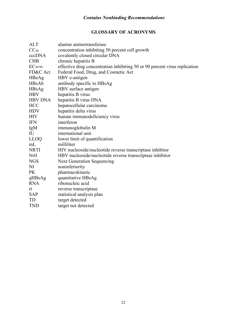## **GLOSSARY OF ACRONYMS**

| ALT              | alanine aminotransferase                                                   |
|------------------|----------------------------------------------------------------------------|
| CC <sub>50</sub> | concentration inhibiting 50 percent cell growth                            |
| cccDNA           | covalently closed circular DNA                                             |
| <b>CHB</b>       | chronic hepatitis B                                                        |
| EC50/90          | effective drug concentration inhibiting 50 or 90 percent virus replication |
| FD&C Act         | Federal Food, Drug, and Cosmetic Act                                       |
| HBeAg            | HBV e-antigen                                                              |
| HBsAb            | antibody specific to HBsAg                                                 |
| HBsAg            | HBV surface antigen                                                        |
| <b>HBV</b>       | hepatitis B virus                                                          |
| <b>HBV DNA</b>   | hepatitis B virus DNA                                                      |
| HCC              | hepatocellular carcinoma                                                   |
| <b>HDV</b>       | hepatitis delta virus                                                      |
| <b>HIV</b>       | human immunodeficiency virus                                               |
| <b>IFN</b>       | interferon                                                                 |
| IgM              | immunoglobulin M                                                           |
| IU               | international unit                                                         |
| <b>LLOQ</b>      | lower limit of quantification                                              |
| mL               | milliliter                                                                 |
| <b>NRTI</b>      | HIV nucleoside/nucleotide reverse transcriptase inhibitor                  |
| NrtI             | HBV nucleoside/nucleotide reverse transcriptase inhibitor                  |
| <b>NGS</b>       | <b>Next Generation Sequencing</b>                                          |
| NI               | noninferiority                                                             |
| PK               | pharmacokinetic                                                            |
| qHBsAg           | quantitative HBsAg                                                         |
| <b>RNA</b>       | ribonucleic acid                                                           |
| rt               | reverse transcriptase                                                      |
| <b>SAP</b>       | statistical analysis plan                                                  |
| TD               | target detected                                                            |
| <b>TND</b>       | target not detected                                                        |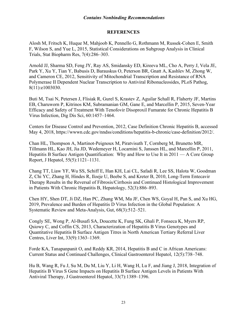#### **REFERENCES**

Alosh M, Fritsch K, Huque M, Mahjoob K, Pennello G, Rothmann M, Russek-Cohen E, Smith F, Wilson S, and Yue L, 2015, Statistical Considerations on Subgroup Analysis in Clinical Trials, Stat Biopharm Res, 7(4):286–303.

Arnold JJ, Sharma SD, Feng JY, Ray AS, Smidansky ED, Kireeva ML, Cho A, Perry J, Vela JE, Park Y, Xu Y, Tian Y, Babusis D, Barauskus O, Peterson BR, Gnatt A, Kashlev M, Zhong W, and Cameron CE, 2012, Sensitivity of Mitochondrial Transcription and Resistance of RNA Polymerase II Dependent Nuclear Transcription to Antiviral Ribonucleosides, PLoS Pathog, 8(11):e1003030.

Buti M, Tsai N, Petersen J, Flisiak R, Gurel S, Krastev Z, Aguilar Schall R, Flaherty JF, Martins EB, Charuworn P, Kitrinos KM, Subramanian GM, Gane E, and Marcellin P, 2015, Seven-Year Efficacy and Safety of Treatment With Tenofovir Disoproxil Fumarate for Chronic Hepatitis B Virus Infection, Dig Dis Sci, 60:1457–1464.

Centers for Disease Control and Prevention, 2012, Case Definition Chronic Hepatitis B, accessed May 4, 2018, [https://wwwn.cdc.gov/nndss/conditions/hepatitis-b-chronic/case-definition/2012/.](https://wwwn.cdc.gov/nndss/conditions/hepatitis-b-chronic/case-definition/2012/)

Chan HL, Thompson A, Martinot-Peignoux M, Piratvisuth T, Cornberg M, Brunetto MR, Tillmann HL, Kao JH, Jia JD, Wedemeyer H, Locarnini S, Janssen HL, and Marcellin P, 2011, Hepatitis B Surface Antigen Quantification: Why and How to Use It in 2011 — A Core Group Report, J Hepatol, 55(5):1121–1131.

Chang TT, Liaw YF, Wu SS, Schiff E, Han KH, Lai CL, Safadi R, Lee SS, Halota W, Goodman Z, Chi YC, Zhang H, Hindes R, Iloeje U, Beebe S, and Kreter B, 2010, Long-Term Entecavir Therapy Results in the Reversal of Fibrosis/Cirrhosis and Continued Histological Improvement in Patients With Chronic Hepatitis B, Hepatology, 52(3):886–893.

Chen HY, Shen DT, Ji DZ, Han PC, Zhang WM, Ma JF, Chen WS, Goyal H, Pan S, and Xu HG, 2019, Prevalence and Burden of Hepatitis D Virus Infection in the Global Population: A Systematic Review and Meta-Analysis, Gut, 68(3):512–521.

Congly SE, Wong P, Al-Busafi SA, Doucette K, Fung SK, Ghali P, Fonseca K, Myers RP, Qsiowy C, and Coffin CS, 2013, Characterization of Hepatitis B Virus Genotypes and Quantitative Hepatitis B Surface Antigen Titres in North American Tertiary Referral Liver Centres, Liver Int, 33(9):1363–1369.

Forde KA, Tanapanpanit O, and Reddy KR, 2014, Hepatitis B and C in African Americans: Current Status and Continued Challenges, Clinical Gastroenterol Hepatol, 12(5):738–748.

Hu B, Wang R, Fu J, Su M, Du M, Liu Y, Li H, Wang H, Lu F, and Jiang J, 2018, Integration of Hepatitis B Virus S Gene Impacts on Hepatitis B Surface Antigen Levels in Patients With Antiviral Therapy, J Gastroenterol Hepatol, 33(7):1389–1396.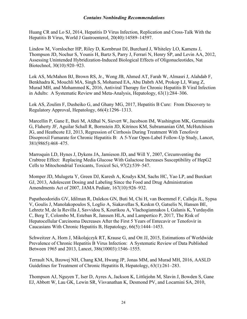Huang CR and Lo SJ, 2014, Hepatitis D Virus Infection, Replication and Cross-Talk With the Hepatitis B Virus, World J Gastroenterol, 20(40):14589–14597.

Lindow M, Vornlocher HP, Riley D, Kornbrust DJ, Burchard J, Whiteley LO, Kamens J, Thompson JD, Nochur S, Younis H, Bartz S, Parry J, Ferrari N, Henry SP, and Levin AA, 2012, Assessing Unintended Hybridization-Induced Biological Effects of Oligonucleotides, Nat Biotechnol, 30(10):920–923.

Lok AS, McMahon BJ, Brown RS, Jr., Wong JB, Ahmed AT, Farah W, Almasri J, Alahdab F, Benkhadra K, Mouchli MA, Singh S, Mohamed EA, Abu Dabrh AM, Prokop LJ, Wang Z, Murad MH, and Mohammed K, 2016, Antiviral Therapy for Chronic Hepatitis B Viral Infection in Adults: A Systematic Review and Meta-Analysis, Hepatology, 63(1):284–306.

Lok AS, Zoulim F, Dusheiko G, and Ghany MG, 2017, Hepatitis B Cure: From Discovery to Regulatory Approval, Hepatology, 66(4):1296–1313.

Marcellin P, Gane E, Buti M, Afdhal N, Sievert W, Jacobson IM, Washington MK, Germanidis G, Flaherty JF, Aguilar Schall R, Bornstein JD, Kitrinos KM, Subramanian GM, McHutchison JG, and Heathcote EJ, 2013, Regression of Cirrhosis During Treatment With Tenofovir Disoproxil Fumarate for Chronic Hepatitis B: A 5-Year Open-Label Follow-Up Study, Lancet, 381(9865):468–475.

Marroquin LD, Hynes J, Dykens JA, Jamieson JD, and Will Y, 2007, Circumventing the Crabtree Effect: Replacing Media Glucose With Galactose Increases Susceptibility of HepG2 Cells to Mitochondrial Toxicants, Toxicol Sci, 97(2):539–547.

Momper JD, Mulugeta Y, Green DJ, Karesh A, Krudys KM, Sachs HC, Yao LP, and Burckart GJ, 2013, Adolescent Dosing and Labeling Since the Food and Drug Administration Amendments Act of 2007, JAMA Pediatr, 167(10):926–932.

Papatheodoridis GV, Idilman R, Dalekos GN, Buti M, Chi H, van Boemmel F, Calleja JL, Sypsa V, Goulis J, Manolakopoulos S, Loglio A, Siakavellas S, Keskın O, Gatselis N, Hansen BE, Lehretz M, de la Revilla J, Savvidou S, Kourikou A, Vlachogiannakos I, Galanis K, Yurdaydin C, Berg T, Colombo M, Esteban R, Janssen HLA, and Lampertico P, 2017, The Risk of Hepatocellular Carcinoma Decreases After the First 5 Years of Entecavir or Tenofovir in Caucasians With Chronic Hepatitis B, Hepatology, 66(5):1444–1453.

Schweitzer A, Horn J, Mikolajczyk RT, Krause G, and Ott JJ, 2015, Estimations of Worldwide Prevalence of Chronic Hepatitis B Virus Infection: A Systematic Review of Data Published Between 1965 and 2013, Lancet, 386(10003):1546–1555.

Terrault NA, Bzowej NH, Chang KM, Hwang JP, Jonas MM, and Murad MH, 2016, AASLD Guidelines for Treatment of Chronic Hepatitis B, Hepatology, 63(1):261–283.

Thompson AJ, Nguyen T, Iser D, Ayres A, Jackson K, Littlejohn M, Slavin J, Bowden S, Gane EJ, Abbott W, Lau GK, Lewin SR, Visvanathan K, Desmond PV, and Locarnini SA, 2010,